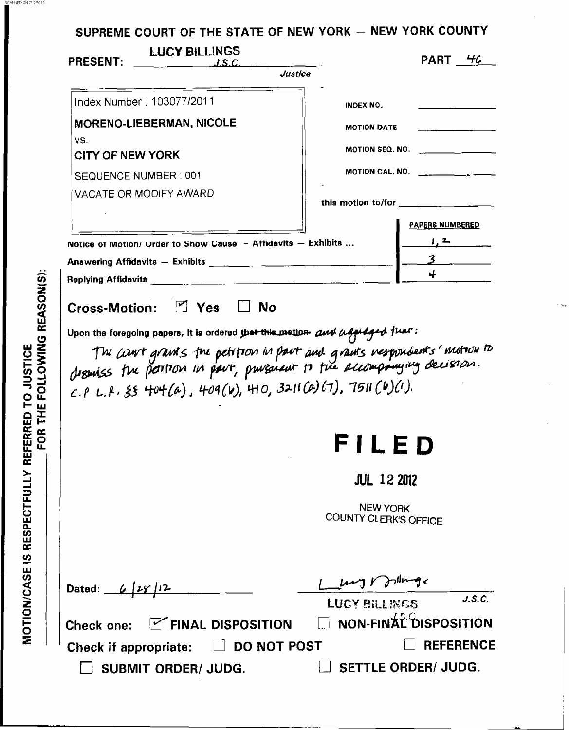| <b>LUCY BILLINGS</b><br><b>PRESENT:</b><br>$\overline{L.S.C.}$                                                                                                                                                                                     |                                          | PART 46                                                                                                                                                                                                                                                                                                                                                                                                           |
|----------------------------------------------------------------------------------------------------------------------------------------------------------------------------------------------------------------------------------------------------|------------------------------------------|-------------------------------------------------------------------------------------------------------------------------------------------------------------------------------------------------------------------------------------------------------------------------------------------------------------------------------------------------------------------------------------------------------------------|
|                                                                                                                                                                                                                                                    | Justice                                  |                                                                                                                                                                                                                                                                                                                                                                                                                   |
| Index Number: 103077/2011                                                                                                                                                                                                                          | INDEX NO.                                |                                                                                                                                                                                                                                                                                                                                                                                                                   |
| <b>MORENO-LIEBERMAN, NICOLE</b>                                                                                                                                                                                                                    | <b>MOTION DATE</b>                       |                                                                                                                                                                                                                                                                                                                                                                                                                   |
| VS.                                                                                                                                                                                                                                                |                                          | MOTION SEQ. NO. __________________                                                                                                                                                                                                                                                                                                                                                                                |
| <b>CITY OF NEW YORK</b>                                                                                                                                                                                                                            |                                          | MOTION CAL. NO. $\qquad \qquad$                                                                                                                                                                                                                                                                                                                                                                                   |
| SEQUENCE NUMBER : 001<br>VACATE OR MODIFY AWARD                                                                                                                                                                                                    |                                          |                                                                                                                                                                                                                                                                                                                                                                                                                   |
|                                                                                                                                                                                                                                                    |                                          | this motion to/for $\frac{1}{\sqrt{1-\frac{1}{2}}\cdot\frac{1}{\sqrt{1-\frac{1}{2}}\cdot\frac{1}{\sqrt{1-\frac{1}{2}}\cdot\frac{1}{\sqrt{1-\frac{1}{2}}\cdot\frac{1}{\sqrt{1-\frac{1}{2}}\cdot\frac{1}{\sqrt{1-\frac{1}{2}}\cdot\frac{1}{\sqrt{1-\frac{1}{2}}\cdot\frac{1}{\sqrt{1-\frac{1}{2}}\cdot\frac{1}{\sqrt{1-\frac{1}{2}}\cdot\frac{1}{\sqrt{1-\frac{1}{2}}\cdot\frac{1}{\sqrt{1-\frac{1}{2}}\cdot\frac{$ |
|                                                                                                                                                                                                                                                    |                                          | <b>PAPERS NUMBERED</b>                                                                                                                                                                                                                                                                                                                                                                                            |
| notice of Motion/ Urder to Show Cause - Affidavits - Exhibits                                                                                                                                                                                      |                                          | 1, 2                                                                                                                                                                                                                                                                                                                                                                                                              |
|                                                                                                                                                                                                                                                    |                                          |                                                                                                                                                                                                                                                                                                                                                                                                                   |
|                                                                                                                                                                                                                                                    |                                          |                                                                                                                                                                                                                                                                                                                                                                                                                   |
|                                                                                                                                                                                                                                                    |                                          |                                                                                                                                                                                                                                                                                                                                                                                                                   |
|                                                                                                                                                                                                                                                    | FILED<br><b>JUL 12 2012</b>              |                                                                                                                                                                                                                                                                                                                                                                                                                   |
| Cross-Motion: □ Yes □ No<br>Upon the foregoing papers, it is ordered that this mation and adjudged fuar:<br>The court grants the petition in part and grants nespondents' motion to<br>$C.P.L.P. 55 404(a)$ , 409(b), 410, 3211(a)(7), 7511(b)(1). | <b>NEW YORK</b><br>COUNTY CLERK'S OFFICE |                                                                                                                                                                                                                                                                                                                                                                                                                   |
| Dated: $6/28/12$                                                                                                                                                                                                                                   | mil a suma                               | J.S.C.                                                                                                                                                                                                                                                                                                                                                                                                            |
|                                                                                                                                                                                                                                                    | <b>LUCY BILLINGS</b>                     |                                                                                                                                                                                                                                                                                                                                                                                                                   |
| Check one: FINAL DISPOSITION                                                                                                                                                                                                                       |                                          | NON-FINAL DISPOSITION                                                                                                                                                                                                                                                                                                                                                                                             |
| DO NOT POST<br>Check if appropriate:<br><b>SUBMIT ORDER/ JUDG.</b>                                                                                                                                                                                 |                                          | <b>REFERENCE</b><br><b>SETTLE ORDER/ JUDG.</b>                                                                                                                                                                                                                                                                                                                                                                    |

4NED ON 711212012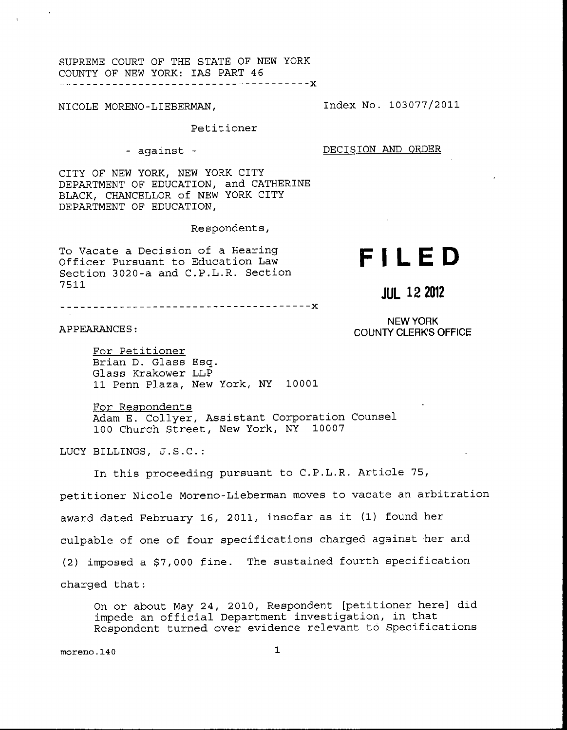SUPREME COURT OF THE STATE OF NEW YORK COUNTY OF NEW YORK: IAS PART 46

NICOLE MORENO-LIEBERMAN, Index No. 103077/2011

Petitioner

- against - DECISION AND ORDER

CITY OF NEW YORK, NEW YORK CITY DEPARTMENT OF EDUCATION, and CATHERINE BLACK, CHANCELLOR of NEW YORK CITY DEPARTMENT OF EDUCATION,

Respondents ,

To Vacate a Decision of a Hearing Officer Pursuant to Education Law Section 3020-a and C.P.L.R. Section 7511

-------------------------------------<mark>-</mark>X

APPEARANCES :

**NEW YORK** 

**JUL 12 2012** 

COUNTY CLERK'S **OFFICE** 

**FILED** 

For Petitioner Brian D. Glass Esq. Glass Krakower LLP 11 Penn Plaza, New York, *NY* 10001

For Respondents Adam E. Collyer, Assistant Corporation Counsel 100 Church Street, New York, NY 10007

LUCY BILLINGS, J.S.C.:

In this proceeding pursuant to C.P.L.R. Article 75,

petitioner Nicole Moreno-Lieberman moves to vacate an arbitration award dated February 16, 2011, insofar as it (1) found her culpable of one of four specifications charged against her and *(2)* imposed a \$7,000 fine. The sustained fourth specification charged that:

On or about May 24, 2010, Respondent [petitioner here] did impede an official Department investigation, in that Respondent turned over evidence relevant to Specifications

**rnoreno.140** 1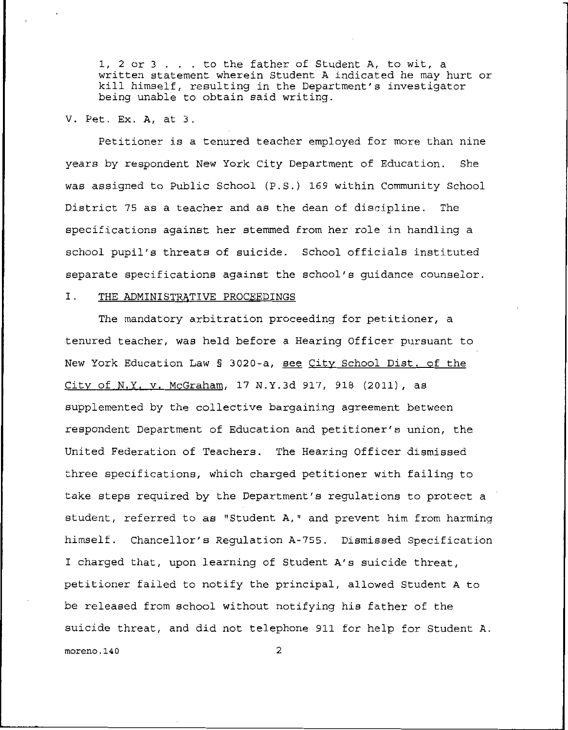1, **2** or 3 . . . to the father of Student A, to wit, a written statement wherein Student **A** indicated he may hurt or kill himself, resulting in the Department's investigator being unable to obtain said writing.

## V. Pet. Ex. **A,** at **3.**

Petitioner is a tenured teacher employed for more than nine years by respondent New York City Department of Education. was assigned to Public School (P.S.) 169 within Community School District 75 as a teacher and as the dean of discipline. The specifications against her stemmed from her role in handling a school pupil's threats of suicide. School officials instituted separate specifications against the school's guidance counselor. **She** 

### I. THE ADMINISTRATIVE PROCEEDINGS

The mandatory arbitration proceeding for petitioner, a tenured teacher, was held before a Hearing Officer pursuant to New York Education Law § 3020-a, see City School Dist, of the City of N.Y. v. McGraham, 17 N.Y.3d 917, 918 (2011), as supplemented by the collective bargaining agreement between respondent Department of Education and petitioner's union, the United Federation of Teachers. The Hearing Officer dismissed three specifications, which charged petitioner with failing to take steps required by the Department's regulations to protect a student, referred to as "Student **A,"** and prevent him from harming himself. Chancellor's Regulation **A-755.** Dismissed Specification I charged that, upon learning of Student **A's** suicide threat, petitioner failed to notify the principal, allowed Student **A** to be released from school without notifying his father of the suicide threat, and did not telephone 911 for help for Student **A. moreno.140** *2*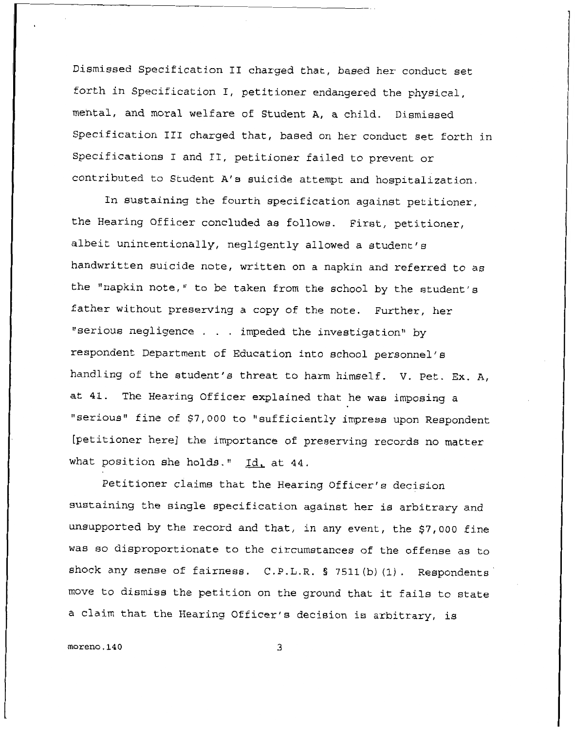Dismissed Specification I1 charged that, based her conduct set forth in Specification I, petitioner endangered the physical, mental, and moral welfare of Student **A,** a child. Dismissed Specification I11 charged that, based on her conduct set forth in Specifications I and 11, petitioner failed to prevent or contributed to Student **A's** suicide attempt and hospitalization.

In sustaining the fourth specification against petitioner, the Hearing Officer concluded as follows. First, petitioner, albeit unintentionally, negligently allowed **a** student's handwritten suicide note, written on a napkin and referred to as the "napkin note," to be taken from the school by the student's father without preserving a copy of the note. Further, her "serious negligence . . . impeded the investigation" by respondent Department of Education into school personnel's handling of the student's threat to harm himself. V. Pet. Ex. **A,**  at 41. The Hearing Officer explained that he **was** imposing a "serious" fine of \$7,000 to "sufficiently impress upon Respondent [petitioner here] the importance of preserving records no matter what position she holds." Id. at 44.

Petitioner claims that the Hearing Officer's decision sustaining the single specification against her is arbitrary and unsupported by the record and that, in any event, the \$7,000 fine was so disproportionate to the circumstances of the offense as to shock any sense of fairness. C.P.L.R. § **7511(b)** (1). Respondents move to dismiss the petition on the ground that it fails to state a claim that the Hearing Officer's decision is arbitrary, **is**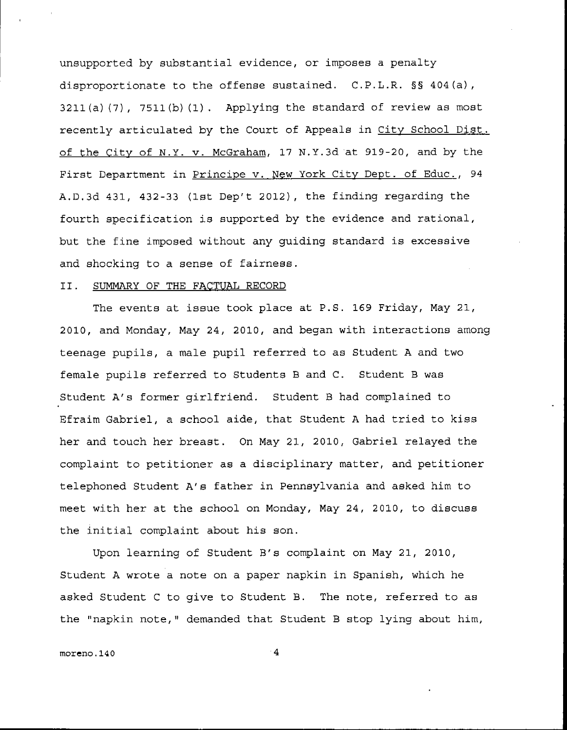unsupported by substantial evidence, or imposes a penalty disproportionate to the offense sustained. C.P.L.R. §§ 404(a) , **3211(a)** (7) , **7511(b)** (1) . Applying the standard of review as most recently articulated by the Court of Appeals in City School Dist. of the City of N.Y. v. McGraham, 17 **N.Y.3d** at 919-20, and by the First Department in Principe v. **New** York City **Dept.** of Educ., 94 **A.D.3d** 431, 432-33 (lat Dep't **2012),** the finding regarding the fourth specification is supported by the evidence and rational, but the fine imposed without any guiding standard is excessive and shocking to a sense of fairness.

### 11. SUMMARY OF THE FACTUAL RECORD

The events at issue took place at P.S. 169 Friday, **May** 21, 2010, and Monday, **May** 24, 2010, **and** began with interactions among teenage pupils, a male pupil referred to as Student **A** and two female pupils referred to Students B and C. Student B was Student **A's** former girlfriend. Student B had complained to Efraim Gabriel, a school aide, that Student **A** had tried to kiss her and touch her breast. On May 21, 2010, Gabriel relayed the complaint to petitioner as a disciplinary matter, and petitioner telephoned Student **A's** father in Pennsylvania and asked him to meet with her at the school on Monday, May 24, 2010, to discues the initial complaint about his son.

Upon learning of Student B's complaint on **May** 21, **2010,**  Student **A** wrote a note on a paper napkin in Spanish, which he asked Student C to give to Student B. The note, referred to as the "napkin note," demanded that Student B stop lying about him,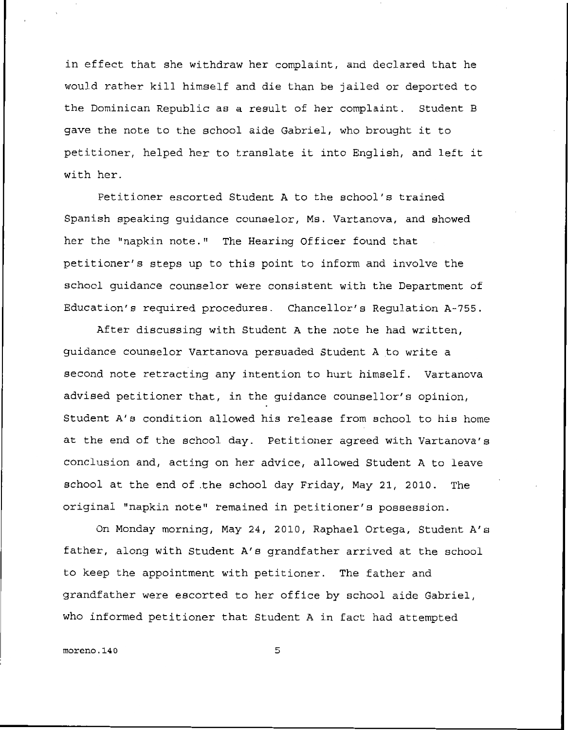in effect that she withdraw her complaint, and declared that he would rather kill himself and die than be jailed or deported to the Dominican Republic as a result of her complaint. Student B gave the note to the school aide Gabriel, who brought it to petitioner, helped her to translate it into English, and left it with her.

Petitioner escorted Student A to the school's trained Spanish speaking guidance counaelor, Ms. Vartanova, and showed her the "napkin note." The Hearing Officer found that petitioner's steps **up** to this point to inform and involve the school guidance counselor were consistent with the Department of Education's required procedures. Chancellor's Regulation A-755.

After discussing with Student **A** the note he had written, guidance counselor Vartanova persuaded Student **A** to write a second note retracting any intention to hurt himself. Vartanova adviaed petitioner that, in the guidance counsellor's opinion, Student A's condition allowed his release from school to his home at the end of the school day. Petitioner agreed with Vartanova's conclusion and, acting on her advice, allowed Student **A** to leave school at the end of.the school day Friday, May 21, 2010. The original "napkin note" remained in petitioner's possession.

On Monday morning, May 24, 2010, Raphael Ortega, Student A's father, along with Student A's grandfather arrived at the school to **keep** the appointment with petitioner. The father and grandfather were escorted to her office by school aide Gabriel, who informed petitioner that Student **A** in fact had attempted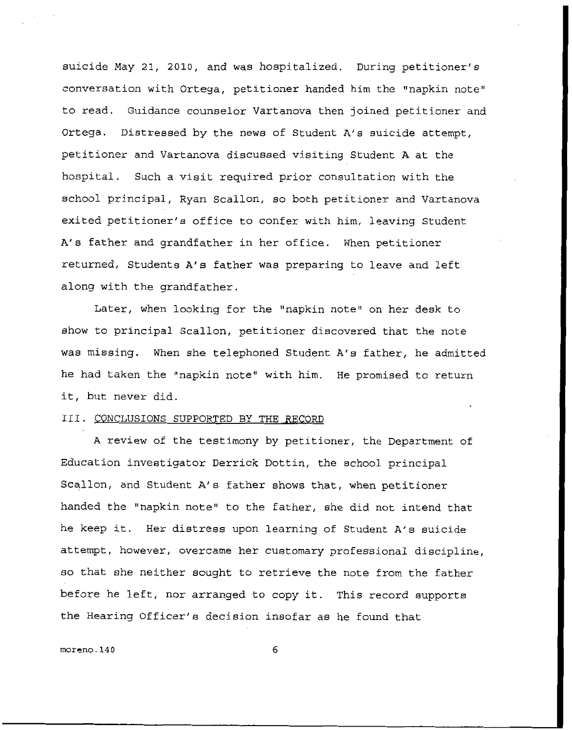suicide May 21, 2010, and was hospitalized. During petitioner's conversation with Ortega, petitioner handed him the "napkin note" to read. Guidance counselor Vartanova then joined petitioner and Ortega. Distressed by the news of Student **A's** suicide attempt, petitioner and Vartanova discussed visiting Student **A** at the hospital. Such a visit required prior consultation with the school principal, Ryan Scallon, so both petitioner and Vartanova exited petitioner's office to confer with him, leaving Student **A'e** father and grandfather in her office. When petitioner returned, Students **A's** father was preparing to leave and left along with the grandfather.

Later, when looking for the "napkin note" on her desk to show to principal Scallon, petitioner discovered that the note was missing, When she telephoned Student **A's** father, he admitted he had taken the "napkin note" with him. He promised to return it, but never did.

#### III. CONCLUSIONS SUPPORTED BY THE RECORD

**A** review of the testimony by petitioner, the Department of Education investigator Derrick Dottin, the school principal Scallon, and Student **A's** father shows that, when petitioner handed the "napkin note" to the father, she did not intend that he keep it. Her distress upon learning of Student **A's** suicide attempt, however, overcame her customary professional discipline, so that she neither sought to retrieve the note from the father before he left, nor arranged to copy it. This record supports the Hearing Officer's decision insofar as he found that

**morcno.l40** *6*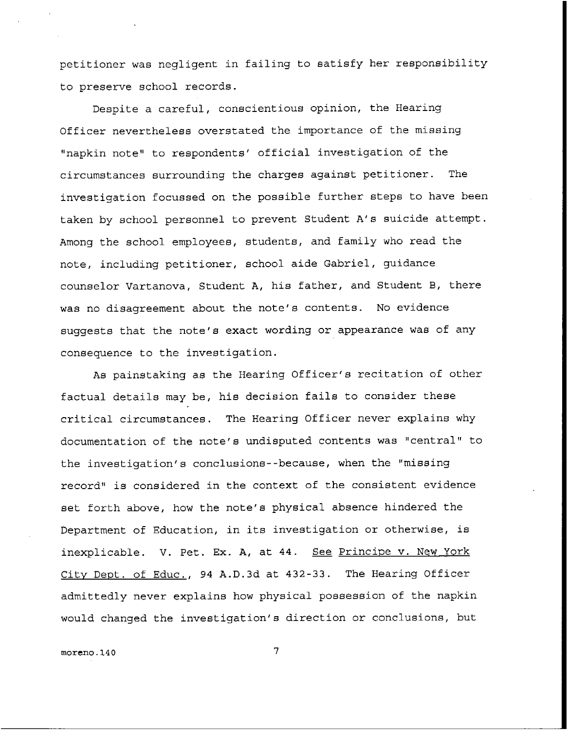petitioner was negligent in failing to satisfy her responsibility to preserve school records.

Despite a careful, conscientious opinion, the Hearing Officer nevertheless overstated the importance of the missing "napkin note" to respondents' official investigation of the circumstances surrounding the charges against petitioner. The investigation focussed on the possible further steps to have been taken by school personnel to prevent Student **A's** suicide attempt. Among the school employees, students, and family who read the note, including petitioner, school aide Gabriel, guidance counselor Vartanova, Student **A,** his father, and Student B, there was no disagreement about the note's contents. No evidence suggests that the note's exact wording or appearance was of any consequence to the investigation.

As painstaking as the Hearing Officer's recitation of other factual details may be, his decision fails to conaider these critical circumstances. The Hearing Officer never explains why documentation of the note's undisputed contents was "central" to the investigation's conclusions--because, when the "missing record" is considered in the context of the consistent evidence set forth above, how the note's physical absence hindered the Department of Education, in its investigation or otherwise, is inexplicable. V. Pet. Ex. A, at 44. See Principe v. New York Citv Dept. of Educ., 94 A.D.3d at 432-33. The Hearing Officer admittedly never explains how physical possession of the napkin would changed the investigation's direction or conclusions, but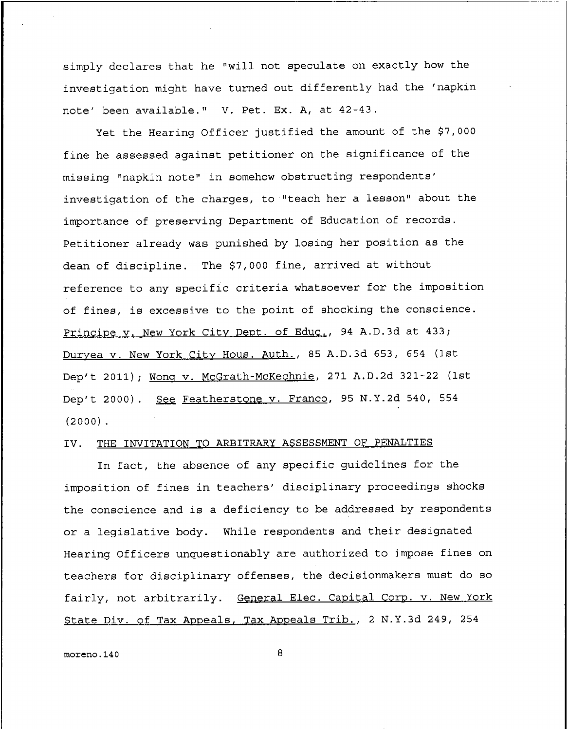simply declares that he "will not speculate on exactly how the investigation might have turned out differently had the 'napkin note' been available." V. Pet. Ex. A, at  $42-43$ .

Yet the Hearing Officer justified the amount of the **\$7,000**  fine he assessed against petitioner on the significance of the missing "napkin note" in Bomehow obstructing respondents' investigation of the charges, to "teach her a lesson" about the importance of preserving Department of Education of records. Petitioner already was punished by losing her position as the dean of discipline. The \$7,000 fine, arrived at without reference to any specific criteria whatsoever for the impoaition of fines, is excessive to the point of shocking the conscience. Principe v. New York City Dept. of Educ., 94 A.D.3d at 433; Duryea v. New York City Hous. Auth., 85 A.D.3d 653, 654 (1st Dep't 2011); Wong v. McGrath-McKechnie, 271 A.D.2d 321-22 (1st Dep't 2000). See Featherstone v. Franco, 95 N.Y.2d 540, 554 **(2000).** 

# IV. THE INVITATION TO ARBITRARY ASSESSMENT OF PENALTIES

In fact, the abaence of any specific guidelines for the imposition of fines in teachers' disciplinary proceedings shocks the conscience and is a deficiency to be addressed by respondents or a legislative body. While respondents and their designated Hearing Officers unquestionably are authorized to impose fines on teachers for disciplinary offenses, the decisionmakers must do so fairly, not arbitrarily. General Elec. Capital Corp. v. New York State Div. of Tax Appeals, Tax Appeals Trib., 2 N.Y.3d 249, 254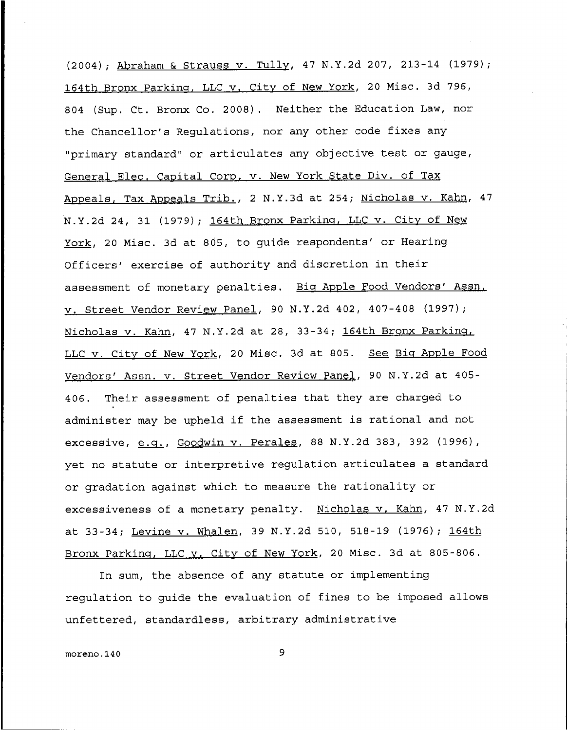(2004) ; Abraham & Straws v. Tully, **47 N.Y.2d** 207, **213-14 (1979);**  164m **Bro** nx Parkins, LLC **v.** City of New York, 20 Misc. 3d **796,**  804 (Sup. Ct. Bronx Co. 2008). Neither the Education Law, nor the Chancellor's Regulations, nor any other code fixes any "primary standard" or articulates any objective test or gauge, General Elec. Capital Corp. v. New York State Div. of Tax Appeals, Tax **Anpeals** Trib., 2 **N.Y.3d** at 254; Nicholas v. Kahn, 47 N.Y.2d 24, 31 (1979); 164th **Bronx Parking, LLC v. City of New** York, 20 Misc. 3d at 805, to guide respondents' or Hearing Officers' exercise of authority and discretion in their assessment of monetary penalties. Biq Apple Food Vendors' **Asm, v.** Street Vendor Review Panel, 90 **N.Y.2d 402, 407-408 (1997);**  Nicholas v. Kahn, 47 N.Y.2d at 28, 33-34; 164th Bronx Parking, LLC v. City of New **YQrk,** 20 MIec. 3d at 805. **See pis** Apple Food Vendors' Assn. v. Street Vendor Review Panel, 90 N.Y.2d at 405-406. Their assessment of penalties that they are charged to administer may be upheld if the assessment is rational and not exceeeive, e.q., GoQdwin v. PeraLes, 88 N.Y.2d 383, 392 **(1996),**  yet no statute or interpretive regulation articulates a standard or gradation against which to measure the rationality or excessiveness of a monetary penalty. Nicholas v. Kahn, 47 N.Y.2d at **33-34;** Levine **v. Whale** n, 39 N.Y.2d 510, 518-19 **(1976);** 164th Bronx Parking, LLC v. City of New York, 20 Misc. 3d at 805-806.

In sum, the absence of any statute or implementing regulation to guide the evaluation of fines to be imposed allows unfettered, standardless, arbitrary administrative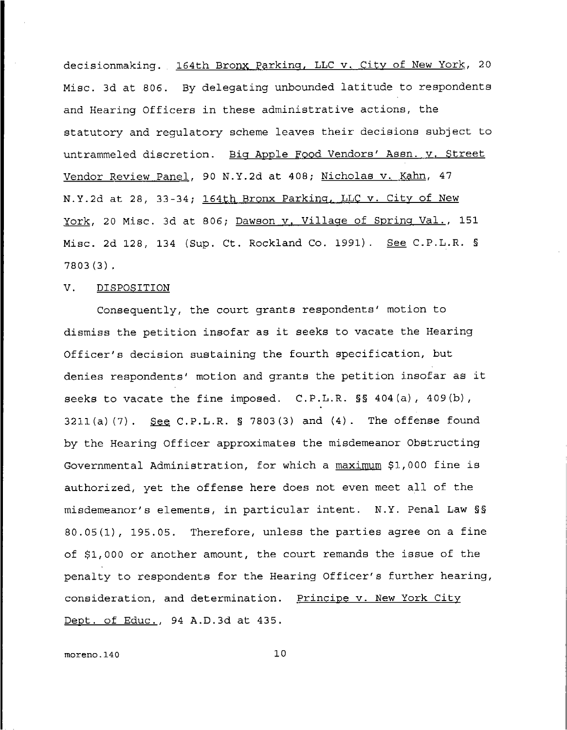decisionmaking. 164th Bronx Parking, LLC v. City of New York, 20 Misc. 3d at 806. By delegating unbounded latitude to respondents **and** Hearing Officers in these administrative actions, the statutory and regulatory scheme leaves their decisions subject to untrammeled discretion. Big Apple Food Vendors' Assn. v. Street Vendor Review **Papel,** 90 N.Y.2d at 408; Nicholas v. Kahn, **47 N.Y.2d** at **28, 33-34;** 16 4th **Bronx** Parkiqq, **b** LC v. Citv of New York, 20 Misc. 3d at **806;** Dawson **v.** Villaqe of Spring **Val., 151**  Misc. **2d 128, 134 (Sup.** Ct. Rockland Co. 1991). *See* **C.P.L.R.** § **7803(3)** 

# V. **DISPOSITION**

Consequently, the court grants respondents' motion to dismiss the petition insofar as it seeks to vacate the Hearing Officer's decision sustaining the fourth specification, but denies respondents' motion and grants the petition insofar as it seeks to vacate the fine imposed. C.P.L.R. §§ 404(a), **409(b), 3211(a)** (7). **C.P.L.R. 5 7803(3)** and **(4).** The offense found by the Hearing Officer approximates the misdemeanor Obstructing Governmental Administration, for which a maximum \$1,000 fine is authorized, yet the offense here does not even meet all of the misdemeanor's elements, in particular intent. N.Y. Penal Law §§ 80.05(1), 195.05. Therefore, unless the parties agree on a fine of **\$1,000** or another amount, the court remands the issue of the penalty to respondents for the Hearing Officer's further hearing, consideration, and determination. Principe v. New York City Dept. of Educ., 94 **A.D.3d** at **435.**